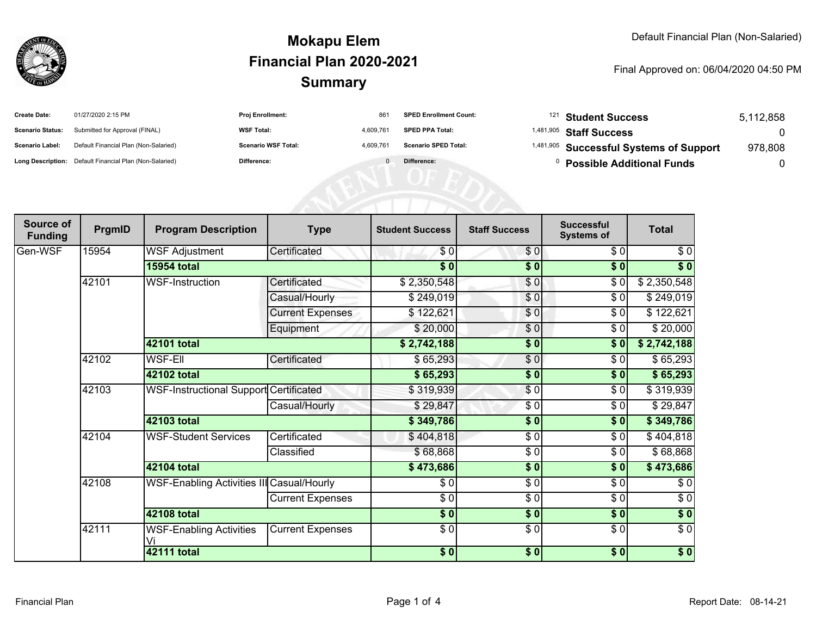

#### **SummaryMokapu ElemFinancial Plan 2020-2021**

#### Final Approved on: 06/04/2020 04:50 PM

| <b>Create Date:</b>     | 01/27/2020 2:15 PM                                      | <b>Proj Enrollment:</b>    | 861       | <b>SPED Enrollment Count:</b> | <sup>121</sup> Student Success                     | 5,112,858 |
|-------------------------|---------------------------------------------------------|----------------------------|-----------|-------------------------------|----------------------------------------------------|-----------|
| <b>Scenario Status:</b> | Submitted for Approval (FINAL)                          | <b>WSF Total:</b>          | 4.609.761 | <b>SPED PPA Total:</b>        | <sup>1,481,905</sup> Staff Success                 |           |
| <b>Scenario Label:</b>  | Default Financial Plan (Non-Salaried)                   | <b>Scenario WSF Total:</b> | 4.609.761 | <b>Scenario SPED Total:</b>   | <sup>1,481,905</sup> Successful Systems of Support | 978,808   |
|                         | Long Description: Default Financial Plan (Non-Salaried) | Difference:                |           | Difference:                   | <b>Possible Additional Funds</b>                   |           |

| Source of<br><b>Funding</b> | PrgmID | <b>Program Description</b>                    | <b>Type</b>             | <b>Student Success</b> | <b>Staff Success</b> | <b>Successful</b><br><b>Systems of</b> | <b>Total</b> |
|-----------------------------|--------|-----------------------------------------------|-------------------------|------------------------|----------------------|----------------------------------------|--------------|
| Gen-WSF                     | 15954  | <b>WSF Adjustment</b>                         | Certificated            | \$0                    | \$0                  | \$0                                    | \$0          |
|                             |        | <b>15954 total</b>                            |                         | \$0                    | \$0                  | \$0                                    | \$0          |
|                             | 42101  | <b>WSF-Instruction</b>                        | Certificated            | \$2,350,548            | \$0                  | \$0                                    | \$2,350,548  |
|                             |        |                                               | Casual/Hourly           | \$249,019              | \$0                  | $\sqrt{6}$                             | \$249,019    |
|                             |        |                                               | <b>Current Expenses</b> | \$122,621              | \$0                  | \$0                                    | \$122,621    |
|                             |        |                                               | Equipment               | \$20,000               | \$0                  | \$0                                    | \$20,000     |
|                             |        | 42101 total                                   |                         | \$2,742,188            | \$0                  | \$0                                    | \$2,742,188  |
|                             | 42102  | WSF-Ell                                       | Certificated            | \$65,293               | \$0                  | \$0                                    | \$65,293     |
|                             |        | 42102 total                                   |                         | \$65,293               | \$0                  | \$0                                    | \$65,293     |
|                             | 42103  | <b>WSF-Instructional Support Certificated</b> |                         | \$319,939              | $\frac{6}{3}$        | \$0                                    | \$319,939    |
|                             |        |                                               | Casual/Hourly           | \$29,847               | \$0                  | \$0                                    | \$29,847     |
|                             |        | 42103 total                                   |                         | \$349,786              | \$0                  | \$0                                    | \$349,786    |
|                             | 42104  | <b>WSF-Student Services</b>                   | Certificated            | \$404,818              | \$0                  | \$0                                    | \$404,818    |
|                             |        |                                               | Classified              | \$68,868               | \$0                  | \$0                                    | \$68,868     |
|                             |        | 42104 total                                   |                         | \$473,686              | \$0                  | \$0                                    | \$473,686    |
|                             | 42108  | WSF-Enabling Activities III Casual/Hourly     |                         | \$0                    | $\sqrt{6}$           | \$0                                    | \$0          |
|                             |        |                                               | Current Expenses        | $\frac{3}{6}$          | $\frac{3}{6}$        | $\sqrt{6}$                             | $\sqrt{6}$   |
|                             |        | <b>42108 total</b>                            |                         | $\sqrt{5}$             | $\frac{1}{2}$        | $\frac{1}{2}$                          | $\sqrt[6]{}$ |
|                             | 42111  | <b>WSF-Enabling Activities</b>                | <b>Current Expenses</b> | $\sqrt{6}$             | $\frac{3}{6}$        | $\frac{1}{\sqrt{2}}$                   | $\sqrt{6}$   |
|                             |        | <b>42111 total</b>                            |                         | \$0]                   | \$0                  | \$0]                                   | $\sqrt{6}$   |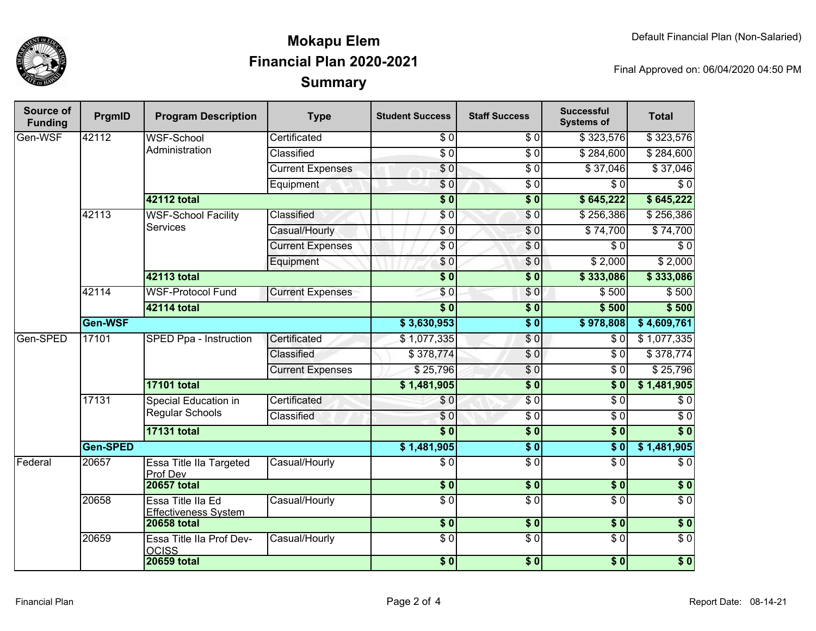

## **SummaryMokapu ElemFinancial Plan 2020-2021**

Final Approved on: 06/04/2020 04:50 PM

| <b>Source of</b><br><b>Funding</b> | PrgmID   | <b>Program Description</b>                       | <b>Type</b>             | <b>Student Success</b> | <b>Staff Success</b> | <b>Successful</b><br><b>Systems of</b> | <b>Total</b>     |
|------------------------------------|----------|--------------------------------------------------|-------------------------|------------------------|----------------------|----------------------------------------|------------------|
| Gen-WSF                            | 42112    | <b>WSF-School</b>                                | Certificated            | \$0                    | \$0                  | \$323,576                              | \$323,576        |
|                                    |          | Administration                                   | Classified              | $\overline{50}$        | $\overline{50}$      | \$284,600                              | \$284,600        |
|                                    |          |                                                  | <b>Current Expenses</b> | $\overline{30}$        | $\overline{30}$      | \$37,046                               | \$37,046         |
|                                    |          |                                                  | Equipment               | $\overline{\$0}$       | $\overline{30}$      | $\sqrt{6}$                             | $\overline{\$0}$ |
|                                    |          | <b>42112 total</b>                               |                         | $\overline{\$0}$       | $\overline{\$0}$     | \$645,222                              | \$645,222        |
|                                    | 42113    | <b>WSF-School Facility</b><br><b>Services</b>    | Classified              | $\overline{\$0}$       | $\overline{S}0$      | \$256,386                              | \$256,386        |
|                                    |          |                                                  | Casual/Hourly           | $\sqrt{6}$             | $\sqrt{6}$           | \$74,700                               | \$74,700         |
|                                    |          |                                                  | <b>Current Expenses</b> | \$0                    | $\overline{S}0$      | $\overline{\$0}$                       | $\overline{S}0$  |
|                                    |          |                                                  | Equipment               | \$0                    | \$0                  | \$2,000                                | \$2,000          |
|                                    |          | <b>42113 total</b>                               |                         | $\overline{\$0}$       | $\overline{\$0}$     | \$333,086                              | \$333,086        |
|                                    | 42114    | <b>WSF-Protocol Fund</b>                         | <b>Current Expenses</b> | \$0                    | $\overline{S}0$      | \$500                                  | \$500            |
|                                    |          | 42114 total                                      |                         | $\overline{\$}0$       | $\overline{\$0}$     | \$500                                  | \$500            |
|                                    | Gen-WSF  |                                                  |                         | \$3,630,953            | $\overline{\$0}$     | \$978,808                              | \$4,609,761      |
| Gen-SPED                           | 17101    | <b>SPED Ppa - Instruction</b>                    | Certificated            | \$1,077,335            | \$0                  | $\sqrt{6}$                             | \$1,077,335      |
|                                    |          |                                                  | Classified              | \$378,774              | $\frac{1}{\sqrt{2}}$ | $\overline{\$0}$                       | \$378,774        |
|                                    |          |                                                  | <b>Current Expenses</b> | \$25,796               | $\overline{S}0$      | $\overline{\$0}$                       | \$25,796         |
|                                    |          | <b>17101 total</b>                               |                         | \$1,481,905            | $\overline{\$0}$     | $\overline{\$0}$                       | \$1,481,905      |
|                                    | 17131    | <b>Special Education in</b><br>Regular Schools   | Certificated            | \$0                    | $\overline{\$0}$     | $\overline{\$0}$                       | $\overline{\$0}$ |
|                                    |          |                                                  | Classified              | $\sqrt{6}$             | $\sqrt{6}$           | $\overline{30}$                        | $\overline{\$0}$ |
|                                    |          | <b>17131 total</b>                               |                         | $\overline{\$0}$       | $\overline{\$0}$     | $\overline{\$0}$                       | $\overline{\$0}$ |
|                                    | Gen-SPED |                                                  | \$1,481,905             | $\overline{\$0}$       | $\overline{\$0}$     | \$1,481,905                            |                  |
| Federal                            | 20657    | Essa Title IIa Targeted<br>Prof Dev              | Casual/Hourly           | $\overline{\$0}$       | $\overline{\$0}$     | $\overline{\$0}$                       | $\overline{\$0}$ |
|                                    |          | <b>20657 total</b>                               |                         | $\overline{\$0}$       | $\frac{1}{2}$        | $\overline{\$0}$                       | $\overline{\$0}$ |
|                                    | 20658    | Essa Title IIa Ed<br><b>Effectiveness System</b> | Casual/Hourly           | $\overline{\$0}$       | $\overline{\$0}$     | $\overline{\$0}$                       | $\overline{\$0}$ |
|                                    |          | <b>20658 total</b>                               |                         | $\overline{\$0}$       | \$0                  | \$0                                    | $\overline{\$0}$ |
|                                    | 20659    | Essa Title IIa Prof Dev-<br><b>OCISS</b>         | Casual/Hourly           | $\sqrt{6}$             | $\overline{S}0$      | $\sqrt{6}$                             | $\sqrt{6}$       |
|                                    |          | <b>20659 total</b>                               |                         | $\overline{\$0}$       | $\overline{\$0}$     | $\overline{\$0}$                       | $\overline{\$0}$ |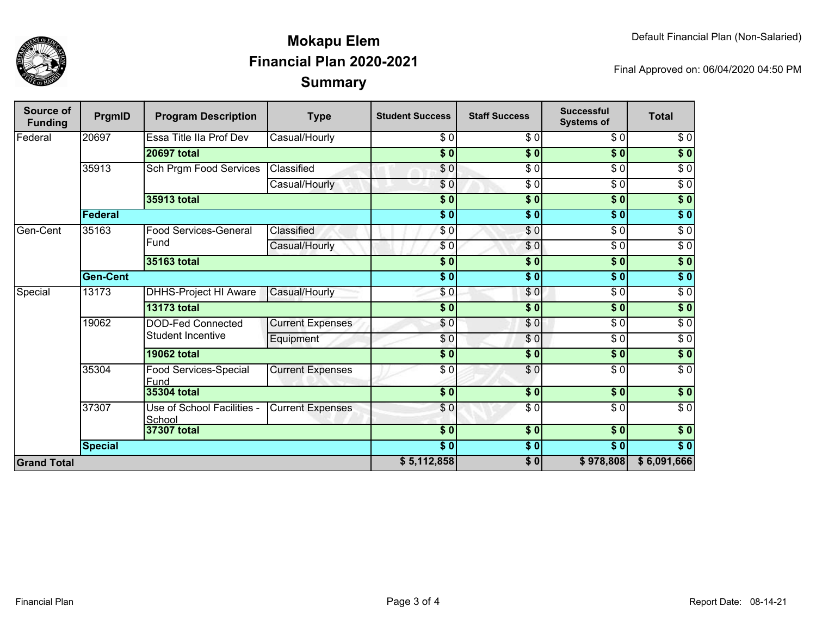

## **SummaryMokapu ElemFinancial Plan 2020-2021**

Final Approved on: 06/04/2020 04:50 PM

| Source of<br><b>Funding</b> | PrgmID             | <b>Program Description</b>                    | <b>Type</b>             | <b>Student Success</b>     | <b>Staff Success</b> | <b>Successful</b><br><b>Systems of</b> | <b>Total</b>      |
|-----------------------------|--------------------|-----------------------------------------------|-------------------------|----------------------------|----------------------|----------------------------------------|-------------------|
| Federal                     | 20697              | Essa Title IIa Prof Dev                       | Casual/Hourly           | \$0                        | \$0                  | \$0                                    | \$0               |
|                             | <b>20697 total</b> |                                               | $\overline{\$0}$        | $\overline{\$0}$           | $\overline{\$0}$     | $\overline{\$}0$                       |                   |
|                             | 35913              | Sch Prgm Food Services                        | Classified              | $\frac{6}{6}$              | $\overline{\$0}$     | $\overline{30}$                        | $\sqrt{6}$        |
|                             |                    |                                               | Casual/Hourly           | $\overline{30}$            | $\overline{\$0}$     | $\sqrt{6}$                             | $\sqrt{6}$        |
|                             |                    | 35913 total                                   |                         | $\overline{\$0}$           | $\overline{\$0}$     | $\overline{\$0}$                       | $\overline{\$}0$  |
|                             | <b>Federal</b>     |                                               |                         |                            | $\overline{\$0}$     | $\overline{\$0}$                       | $\overline{\$}0$  |
| Gen-Cent                    | 35163              | <b>Food Services-General</b><br>Fund          | Classified              | \$0                        | $\sqrt{6}$           | $\sqrt{3}$                             | $\overline{30}$   |
|                             |                    |                                               | Casual/Hourly           | $\frac{6}{3}$              | \$0                  | $\overline{30}$                        | $\overline{30}$   |
|                             |                    | 35163 total                                   |                         | $\overline{\$0}$           | $\overline{\$0}$     | $\overline{\$0}$                       | $\sqrt{50}$       |
|                             | <b>Gen-Cent</b>    |                                               |                         | $\overline{\$0}$           | $\overline{\$0}$     | $\overline{\$0}$                       | $\overline{\$}0$  |
| Special                     | 13173              | DHHS-Project HI Aware                         | Casual/Hourly           | \$0                        | \$0                  | $\overline{30}$                        | $\sqrt{6}$        |
|                             |                    | <b>13173 total</b>                            |                         | $\overline{\$0}$           | $\overline{\$0}$     | $\overline{\$0}$                       | $\overline{\$}0$  |
|                             | 19062              | <b>DOD-Fed Connected</b><br>Student Incentive | <b>Current Expenses</b> | \$0                        | \$0                  | $\sqrt{3}$                             | $\sqrt{6}$        |
|                             |                    |                                               | Equipment               | $\frac{6}{3}$              | $\sqrt{6}$           | $\sqrt{3}$                             | $\overline{30}$   |
|                             |                    | <b>19062 total</b>                            |                         | $\overline{\$0}$           | $\overline{\$0}$     | $\overline{\$0}$                       | $\overline{\$}0$  |
|                             | 35304              | Food Services-Special<br>Fund                 | <b>Current Expenses</b> | $\overline{\$0}$           | $\overline{\$0}$     | $\sqrt{6}$                             | $\sqrt{6}$        |
|                             |                    | 35304 total                                   |                         | $\overline{\phantom{0}30}$ | $\frac{1}{2}$        | $\sqrt{6}$                             | $\sqrt{ }$        |
|                             | 37307              | Use of School Facilities -<br>School          | <b>Current Expenses</b> | \$0                        | \$0                  | $\overline{\$0}$                       | $\overline{\$0}$  |
|                             |                    | 37307 total                                   |                         | $\frac{1}{2}$              | $\frac{1}{2}$        | \$0                                    | $\sqrt{6}$        |
|                             | <b>Special</b>     |                                               |                         | $\overline{\$0}$           | \$0                  | $\overline{\$0}$                       | $\overline{\$}$ 0 |
| <b>Grand Total</b>          |                    |                                               |                         | \$5,112,858                | $\frac{1}{2}$        | \$978,808                              | \$6,091,666       |